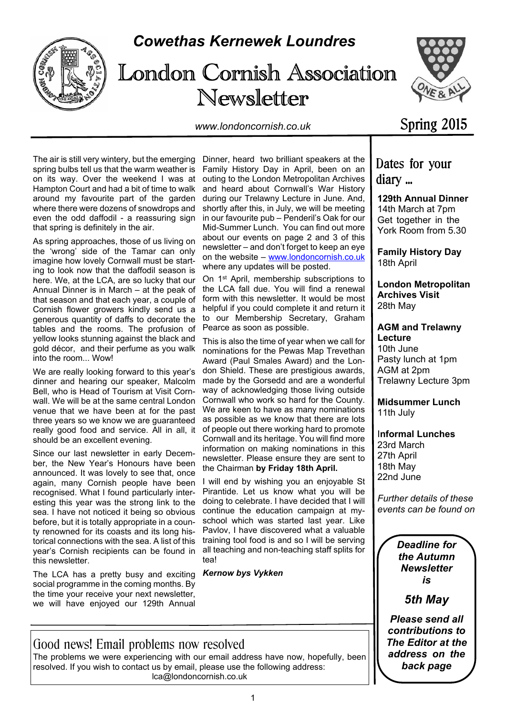

# *Cowethas Kernewek Loundres*

# London Cornish Association Newsletter





Spring 2015

The air is still very wintery, but the emerging spring bulbs tell us that the warm weather is on its way. Over the weekend I was at Hampton Court and had a bit of time to walk around my favourite part of the garden where there were dozens of snowdrops and even the odd daffodil - a reassuring sign that spring is definitely in the air.

As spring approaches, those of us living on the 'wrong' side of the Tamar can only imagine how lovely Cornwall must be starting to look now that the daffodil season is here. We, at the LCA, are so lucky that our Annual Dinner is in March – at the peak of that season and that each year, a couple of Cornish flower growers kindly send us a generous quantity of daffs to decorate the tables and the rooms. The profusion of yellow looks stunning against the black and gold décor, and their perfume as you walk into the room... Wow!

We are really looking forward to this year's dinner and hearing our speaker, Malcolm Bell, who is Head of Tourism at Visit Cornwall. We will be at the same central London venue that we have been at for the past three years so we know we are guaranteed really good food and service. All in all, it should be an excellent evening.

Since our last newsletter in early December, the New Year's Honours have been announced. It was lovely to see that, once again, many Cornish people have been recognised. What I found particularly interesting this year was the strong link to the sea. I have not noticed it being so obvious before, but it is totally appropriate in a county renowned for its coasts and its long historical connections with the sea. A list of this year's Cornish recipients can be found in this newsletter.

The LCA has a pretty busy and exciting social programme in the coming months. By the time your receive your next newsletter, we will have enjoyed our 129th Annual

Dinner, heard two brilliant speakers at the Family History Day in April, been on an outing to the London Metropolitan Archives and heard about Cornwall's War History during our Trelawny Lecture in June. And, shortly after this, in July, we will be meeting in our favourite pub – Penderil's Oak for our Mid-Summer Lunch. You can find out more about our events on page 2 and 3 of this newsletter – and don't forget to keep an eye on the website – www.londoncornish.co.uk where any updates will be posted.

On 1st April, membership subscriptions to the LCA fall due. You will find a renewal form with this newsletter. It would be most helpful if you could complete it and return it to our Membership Secretary, Graham Pearce as soon as possible.

This is also the time of year when we call for nominations for the Pewas Map Trevethan Award (Paul Smales Award) and the London Shield. These are prestigious awards, made by the Gorsedd and are a wonderful way of acknowledging those living outside Cornwall who work so hard for the County. We are keen to have as many nominations as possible as we know that there are lots of people out there working hard to promote Cornwall and its heritage. You will find more information on making nominations in this newsletter. Please ensure they are sent to the Chairman **by Friday 18th April.**

I will end by wishing you an enjoyable St Pirantide. Let us know what you will be doing to celebrate. I have decided that I will continue the education campaign at myschool which was started last year. Like Pavlov, I have discovered what a valuable training tool food is and so I will be serving all teaching and non-teaching staff splits for tea!

*Kernow bys Vykken*

Dates for your diary ...

**129th Annual Dinner** 14th March at 7pm Get together in the York Room from 5.30

**Family History Day** 18th April

**London Metropolitan Archives Visit** 28th May

**AGM and Trelawny Lecture** 10th June Pasty lunch at 1pm

AGM at 2pm Trelawny Lecture 3pm

**Midsummer Lunch** 11th July

I**nformal Lunches** 23rd March 27th April 18th May 22nd June

*Further details of these events can be found on*

> *Deadline for the Autumn Newsletter is*

> > *5th May*

*Please send all contributions to The Editor at the address on the back page*

Good news! Email problems now resolved The problems we were experiencing with our email address have now, hopefully, been resolved. If you wish to contact us by email, please use the following address: lca@londoncornish.co.uk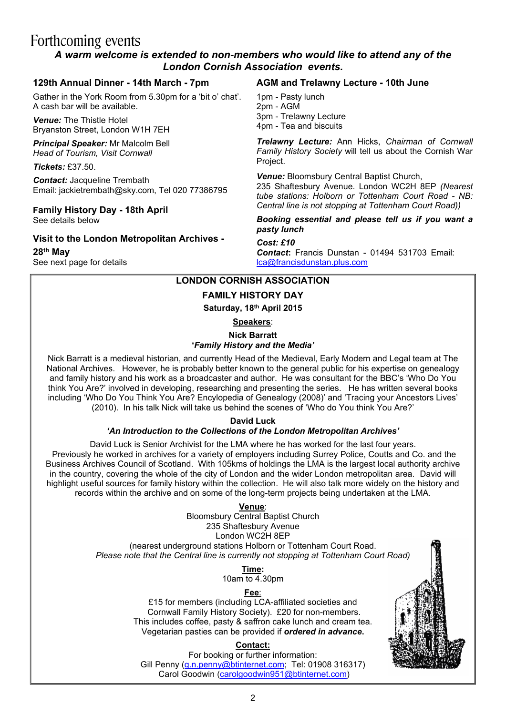# Forthcoming events

## *A warm welcome is extended to non-members who would like to attend any of the London Cornish Association events.*

## **129th Annual Dinner - 14th March - 7pm**

Gather in the York Room from 5.30pm for a 'bit o' chat'. A cash bar will be available.

*Venue:* The Thistle Hotel Bryanston Street, London W1H 7EH

*Principal Speaker:* Mr Malcolm Bell *Head of Tourism, Visit Cornwall*

*Tickets:* £37.50.

*Contact:* Jacqueline Trembath Email: jackietrembath@sky.com, Tel 020 77386795

#### **Family History Day - 18th April** See details below

**Visit to the London Metropolitan Archives -**

**28th May** See next page for details

#### **AGM and Trelawny Lecture - 10th June**

1pm - Pasty lunch 2pm - AGM 3pm - Trelawny Lecture 4pm - Tea and biscuits

*Trelawny Lecture:* Ann Hicks, *Chairman of Cornwall Family History Society* will tell us about the Cornish War Project.

*Venue:* Bloomsbury Central Baptist Church, 235 Shaftesbury Avenue. London WC2H 8EP *(Nearest tube stations: Holborn or Tottenham Court Road - NB: Central line is not stopping at Tottenham Court Road))*

*Booking essential and please tell us if you want a pasty lunch*

#### *Cost: £10*

*Contact***:** Francis Dunstan - 01494 531703 Email: lca@francisdunstan.plus.com

## **LONDON CORNISH ASSOCIATION**

## **FAMILY HISTORY DAY**

**Saturday, 18th April 2015**

**Speakers**:

**Nick Barratt**

## **'***Family History and the Media'*

Nick Barratt is a medieval historian, and currently Head of the Medieval, Early Modern and Legal team at The National Archives. However, he is probably better known to the general public for his expertise on genealogy and family history and his work as a broadcaster and author. He was consultant for the BBC's 'Who Do You think You Are?' involved in developing, researching and presenting the series. He has written several books including 'Who Do You Think You Are? Encylopedia of Genealogy (2008)' and 'Tracing your Ancestors Lives' (2010). In his talk Nick will take us behind the scenes of 'Who do You think You Are?'

> **David Luck** *'An Introduction to the Collections of the London Metropolitan Archives'*

David Luck is Senior Archivist for the LMA where he has worked for the last four years. Previously he worked in archives for a variety of employers including Surrey Police, Coutts and Co. and the Business Archives Council of Scotland. With 105kms of holdings the LMA is the largest local authority archive in the country, covering the whole of the city of London and the wider London metropolitan area. David will highlight useful sources for family history within the collection. He will also talk more widely on the history and records within the archive and on some of the long-term projects being undertaken at the LMA.

#### **Venue**:

Bloomsbury Central Baptist Church 235 Shaftesbury Avenue London WC2H 8EP (nearest underground stations Holborn or Tottenham Court Road. *Please note that the Central line is currently not stopping at Tottenham Court Road)*

> **Time:** 10am to 4.30pm

#### **Fee**:

£15 for members (including LCA-affiliated societies and Cornwall Family History Society). £20 for non-members. This includes coffee, pasty & saffron cake lunch and cream tea. Vegetarian pasties can be provided if *ordered in advance***.**

#### **Contact:**

For booking or further information: Gill Penny (g.n.penny@btinternet.com; Tel: 01908 316317) Carol Goodwin (carolgoodwin951@btinternet.com)

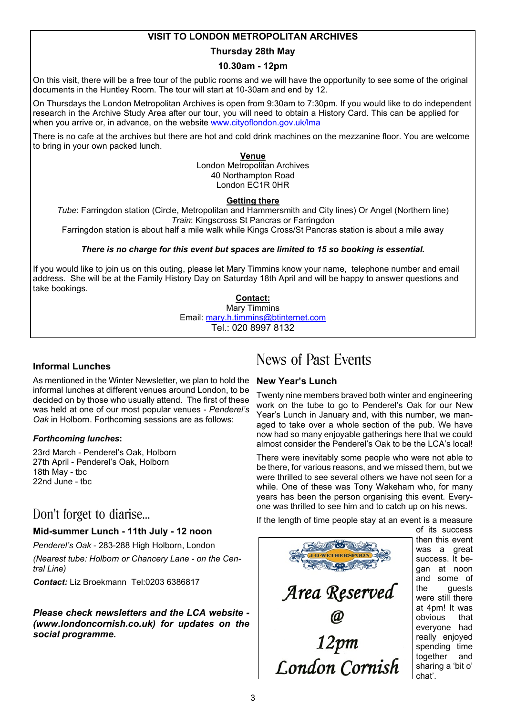## **VISIT TO LONDON METROPOLITAN ARCHIVES**

## **Thursday 28th May**

## **10.30am - 12pm**

On this visit, there will be a free tour of the public rooms and we will have the opportunity to see some of the original documents in the Huntley Room. The tour will start at 10-30am and end by 12.

On Thursdays the London Metropolitan Archives is open from 9:30am to 7:30pm. If you would like to do independent research in the Archive Study Area after our tour, you will need to obtain a History Card. This can be applied for when you arrive or, in advance, on the website www.cityoflondon.gov.uk/lma

There is no cafe at the archives but there are hot and cold drink machines on the mezzanine floor. You are welcome to bring in your own packed lunch.

#### **Venue**

London Metropolitan Archives 40 Northampton Road London EC1R 0HR

## **Getting there**

*Tube*: Farringdon station (Circle, Metropolitan and Hammersmith and City lines) Or Angel (Northern line) *Train*: Kingscross St Pancras or Farringdon

Farringdon station is about half a mile walk while Kings Cross/St Pancras station is about a mile away

## *There is no charge for this event but spaces are limited to 15 so booking is essential.*

If you would like to join us on this outing, please let Mary Timmins know your name, telephone number and email address. She will be at the Family History Day on Saturday 18th April and will be happy to answer questions and take bookings.

#### **Contact:**

Mary Timmins Email: mary.h.timmins@btinternet.com Tel.: 020 8997 8132

## **Informal Lunches**

As mentioned in the Winter Newsletter, we plan to hold the informal lunches at different venues around London, to be decided on by those who usually attend. The first of these was held at one of our most popular venues - *Penderel's Oak* in Holborn. Forthcoming sessions are as follows:

#### *Forthcoming lunches***:**

23rd March - Penderel's Oak, Holborn 27th April - Penderel's Oak, Holborn 18th May - tbc 22nd June - tbc

## Don't forget to diarise…

## **Mid-summer Lunch - 11th July - 12 noon**

*Penderel's Oak* - 283-288 High Holborn, London

*(Nearest tube: Holborn or Chancery Lane - on the Central Line)*

*Contact:* Liz Broekmann Tel:0203 6386817

*Please check newsletters and the LCA website - (www.londoncornish.co.uk) for updates on the social programme.*

# News of Past Events

## **New Year's Lunch**

Twenty nine members braved both winter and engineering work on the tube to go to Penderel's Oak for our New Year's Lunch in January and, with this number, we managed to take over a whole section of the pub. We have now had so many enjoyable gatherings here that we could almost consider the Penderel's Oak to be the LCA's local!

There were inevitably some people who were not able to be there, for various reasons, and we missed them, but we were thrilled to see several others we have not seen for a while. One of these was Tony Wakeham who, for many years has been the person organising this event. Everyone was thrilled to see him and to catch up on his news.

If the length of time people stay at an event is a measure

Area Reserved **London Cornish**  of its success then this event was a great success. It began at noon and some of the guests were still there at 4pm! It was obvious that everyone had really enjoyed spending time together and sharing a 'bit o' chat'.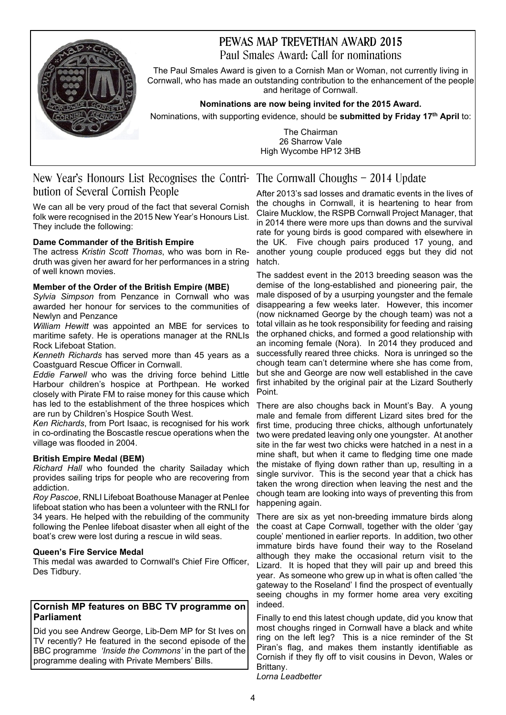## PEWAS MAP TREVETHAN AWARD 2015 Paul Smales Award: Call for nominations



The Paul Smales Award is given to a Cornish Man or Woman, not currently living in Cornwall, who has made an outstanding contribution to the enhancement of the people and heritage of Cornwall.

**Nominations are now being invited for the 2015 Award.**

Nominations, with supporting evidence, should be **submitted by Friday 17th April** to:

The Chairman 26 Sharrow Vale High Wycombe HP12 3HB

## New Year's Honours List Recognises the Contri-The Cornwall Choughs – 2014 Update bution of Several Cornish People

We can all be very proud of the fact that several Cornish folk were recognised in the 2015 New Year's Honours List. They include the following:

## **Dame Commander of the British Empire**

The actress *Kristin Scott Thomas*, who was born in Redruth was given her award for her performances in a string of well known movies.

## **Member of the Order of the British Empire (MBE)**

*Sylvia Simpson* from Penzance in Cornwall who was awarded her honour for services to the communities of Newlyn and Penzance

*William Hewitt* was appointed an MBE for services to maritime safety. He is operations manager at the RNLIs Rock Lifeboat Station.

*Kenneth Richards* has served more than 45 years as a Coastguard Rescue Officer in Cornwall.

*Eddie Farwell* who was the driving force behind Little Harbour children's hospice at Porthpean. He worked closely with Pirate FM to raise money for this cause which has led to the establishment of the three hospices which are run by Children's Hospice South West.

*Ken Richards*, from Port Isaac, is recognised for his work in co-ordinating the Boscastle rescue operations when the village was flooded in 2004.

## **British Empire Medal (BEM)**

*Richard Hall* who founded the charity Sailaday which provides sailing trips for people who are recovering from addiction.

*Roy Pascoe*, RNLI Lifeboat Boathouse Manager at Penlee lifeboat station who has been a volunteer with the RNLI for 34 years. He helped with the rebuilding of the community following the Penlee lifeboat disaster when all eight of the boat's crew were lost during a rescue in wild seas.

#### **Queen's Fire Service Medal**

This medal was awarded to Cornwall's Chief Fire Officer, Des Tidbury.

#### **Cornish MP features on BBC TV programme on Parliament**

Did you see Andrew George, Lib-Dem MP for St Ives on TV recently? He featured in the second episode of the BBC programme *'Inside the Commons'* in the part of the programme dealing with Private Members' Bills.

After 2013's sad losses and dramatic events in the lives of the choughs in Cornwall, it is heartening to hear from Claire Mucklow, the RSPB Cornwall Project Manager, that in 2014 there were more ups than downs and the survival rate for young birds is good compared with elsewhere in the UK. Five chough pairs produced 17 young, and another young couple produced eggs but they did not hatch.

The saddest event in the 2013 breeding season was the demise of the long-established and pioneering pair, the male disposed of by a usurping youngster and the female disappearing a few weeks later. However, this incomer (now nicknamed George by the chough team) was not a total villain as he took responsibility for feeding and raising the orphaned chicks, and formed a good relationship with an incoming female (Nora). In 2014 they produced and successfully reared three chicks. Nora is unringed so the chough team can't determine where she has come from, but she and George are now well established in the cave first inhabited by the original pair at the Lizard Southerly Point.

There are also choughs back in Mount's Bay. A young male and female from different Lizard sites bred for the first time, producing three chicks, although unfortunately two were predated leaving only one youngster. At another site in the far west two chicks were hatched in a nest in a mine shaft, but when it came to fledging time one made the mistake of flying down rather than up, resulting in a single survivor. This is the second year that a chick has taken the wrong direction when leaving the nest and the chough team are looking into ways of preventing this from happening again.

There are six as yet non-breeding immature birds along the coast at Cape Cornwall, together with the older 'gay couple' mentioned in earlier reports. In addition, two other immature birds have found their way to the Roseland although they make the occasional return visit to the Lizard. It is hoped that they will pair up and breed this year. As someone who grew up in what is often called 'the gateway to the Roseland' I find the prospect of eventually seeing choughs in my former home area very exciting indeed.

Finally to end this latest chough update, did you know that most choughs ringed in Cornwall have a black and white ring on the left leg? This is a nice reminder of the St Piran's flag, and makes them instantly identifiable as Cornish if they fly off to visit cousins in Devon, Wales or Brittany.

*Lorna Leadbetter*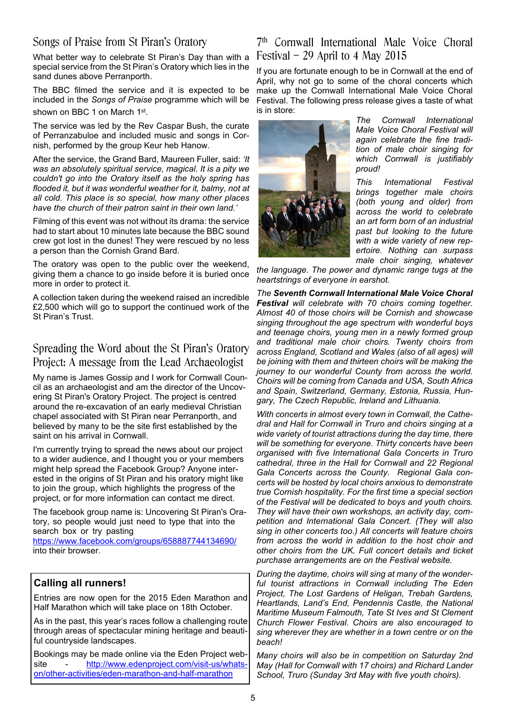## Songs of Praise from St Piran's Oratory

What better way to celebrate St Piran's Day than with a special service from the St Piran's Oratory which lies in the sand dunes above Perranporth.

The BBC filmed the service and it is expected to be included in the *Songs of Praise* programme which will be shown on BBC 1 on March 1st.

The service was led by the Rev Caspar Bush, the curate of Perranzabuloe and included music and songs in Cornish, performed by the group Keur heb Hanow.

After the service, the Grand Bard, Maureen Fuller, said: *'It was an absolutely spiritual service, magical. It is a pity we couldn't go into the Oratory itself as the holy spring has flooded it, but it was wonderful weather for it, balmy, not at all cold. This place is so special, how many other places have the church of their patron saint in their own land.'*

Filming of this event was not without its drama: the service had to start about 10 minutes late because the BBC sound crew got lost in the dunes! They were rescued by no less a person than the Cornish Grand Bard.

The oratory was open to the public over the weekend, giving them a chance to go inside before it is buried once more in order to protect it.

A collection taken during the weekend raised an incredible £2,500 which will go to support the continued work of the St Piran's Trust.

## Spreading the Word about the St Piran's Oratory Project: A message from the Lead Archaeologist

My name is James Gossip and I work for Cornwall Council as an archaeologist and am the director of the Uncovering St Piran's Oratory Project. The project is centred around the re-excavation of an early medieval Christian chapel associated with St Piran near Perranporth, and believed by many to be the site first established by the saint on his arrival in Cornwall.

I'm currently trying to spread the news about our project to a wider audience, and I thought you or your members might help spread the Facebook Group? Anyone interested in the origins of St Piran and his oratory might like to join the group, which highlights the progress of the project, or for more information can contact me direct.

The facebook group name is: Uncovering St Piran's Oratory, so people would just need to type that into the search box or try pasting https://www.facebook.com/groups/658887744134690/ into their browser.

## **Calling all runners!**

Entries are now open for the 2015 Eden Marathon and Half Marathon which will take place on 18th October.

As in the past, this year's races follow a challenging route through areas of spectacular mining heritage and beautiful countryside landscapes.

Bookings may be made online via the Eden Project website http://www.edenproject.com/visit-us/whatson/other-activities/eden-marathon-and-half-marathon

## 7 th Cornwall International Male Voice Choral Festival – 29 April to 4 May 2015

If you are fortunate enough to be in Cornwall at the end of April, why not go to some of the choral concerts which make up the Cornwall International Male Voice Choral Festival. The following press release gives a taste of what is in store:



*The Cornwall International Male Voice Choral Festival will again celebrate the fine tradition of male choir singing for which Cornwall is justifiably proud!*

*This International Festival brings together male choirs (both young and older) from across the world to celebrate an art form born of an industrial past but looking to the future with a wide variety of new repertoire. Nothing can surpass male choir singing, whatever*

*the language. The power and dynamic range tugs at the heartstrings of everyone in earshot.*

*The Seventh Cornwall International Male Voice Choral Festival will celebrate with 70 choirs coming together. Almost 40 of those choirs will be Cornish and showcase singing throughout the age spectrum with wonderful boys and teenage choirs, young men in a newly formed group and traditional male choir choirs. Twenty choirs from across England, Scotland and Wales (also of all ages) will be joining with them and thirteen choirs will be making the journey to our wonderful County from across the world. Choirs will be coming from Canada and USA, South Africa and Spain, Switzerland, Germany, Estonia, Russia, Hungary, The Czech Republic, Ireland and Lithuania.*

*With concerts in almost every town in Cornwall, the Cathedral and Hall for Cornwall in Truro and choirs singing at a wide variety of tourist attractions during the day time, there will be something for everyone. Thirty concerts have been organised with five International Gala Concerts in Truro cathedral, three in the Hall for Cornwall and 22 Regional Gala Concerts across the County. Regional Gala concerts will be hosted by local choirs anxious to demonstrate true Cornish hospitality. For the first time a special section of the Festival will be dedicated to boys and youth choirs. They will have their own workshops, an activity day, competition and International Gala Concert. (They will also sing in other concerts too.) All concerts will feature choirs from across the world in addition to the host choir and other choirs from the UK. Full concert details and ticket purchase arrangements are on the Festival website.*

*During the daytime, choirs will sing at many of the wonderful tourist attractions in Cornwall including The Eden Project, The Lost Gardens of Heligan, Trebah Gardens, Heartlands, Land's End, Pendennis Castle, the National Maritime Museum Falmouth, Tate St Ives and St Clement Church Flower Festival. Choirs are also encouraged to sing wherever they are whether in a town centre or on the beach!*

*Many choirs will also be in competition on Saturday 2nd May (Hall for Cornwall with 17 choirs) and Richard Lander School, Truro (Sunday 3rd May with five youth choirs).*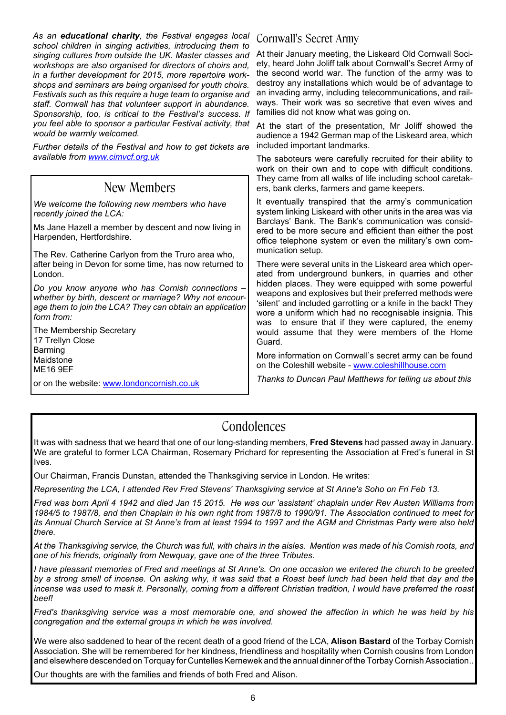*As an educational charity, the Festival engages local school children in singing activities, introducing them to singing cultures from outside the UK. Master classes and workshops are also organised for directors of choirs and, in a further development for 2015, more repertoire workshops and seminars are being organised for youth choirs. Festivals such as this require a huge team to organise and staff. Cornwall has that volunteer support in abundance. Sponsorship, too, is critical to the Festival's success. If you feel able to sponsor a particular Festival activity, that would be warmly welcomed.*

*Further details of the Festival and how to get tickets are available from www.cimvcf.org.uk*

# New Members

*We welcome the following new members who have recently joined the LCA:*

Ms Jane Hazell a member by descent and now living in Harpenden, Hertfordshire.

The Rev. Catherine Carlyon from the Truro area who, after being in Devon for some time, has now returned to London.

*Do you know anyone who has Cornish connections – whether by birth, descent or marriage? Why not encourage them to join the LCA? They can obtain an application form from:*

The Membership Secretary 17 Trellyn Close Barming Maidstone ME16 9EF

or on the website: www.londoncornish.co.uk

## Cornwall's Secret Army

At their January meeting, the Liskeard Old Cornwall Society, heard John Joliff talk about Cornwall's Secret Army of the second world war. The function of the army was to destroy any installations which would be of advantage to an invading army, including telecommunications, and railways. Their work was so secretive that even wives and families did not know what was going on.

At the start of the presentation, Mr Joliff showed the audience a 1942 German map of the Liskeard area, which included important landmarks.

The saboteurs were carefully recruited for their ability to work on their own and to cope with difficult conditions. They came from all walks of life including school caretakers, bank clerks, farmers and game keepers.

It eventually transpired that the army's communication system linking Liskeard with other units in the area was via Barclays' Bank. The Bank's communication was considered to be more secure and efficient than either the post office telephone system or even the military's own communication setup.

There were several units in the Liskeard area which operated from underground bunkers, in quarries and other hidden places. They were equipped with some powerful weapons and explosives but their preferred methods were 'silent' and included garrotting or a knife in the back! They wore a uniform which had no recognisable insignia. This was to ensure that if they were captured, the enemy would assume that they were members of the Home Guard.

More information on Cornwall's secret army can be found on the Coleshill website - www.coleshillhouse.com

*Thanks to Duncan Paul Matthews for telling us about this*

## Condolences

It was with sadness that we heard that one of our long-standing members, **Fred Stevens** had passed away in January. We are grateful to former LCA Chairman, Rosemary Prichard for representing the Association at Fred's funeral in St Ives.

Our Chairman, Francis Dunstan, attended the Thanksgiving service in London. He writes:

*Representing the LCA, I attended Rev Fred Stevens' Thanksgiving service at St Anne's Soho on Fri Feb 13.*

*Fred was born April 4 1942 and died Jan 15 2015. He was our 'assistant' chaplain under Rev Austen Williams from 1984/5 to 1987/8, and then Chaplain in his own right from 1987/8 to 1990/91. The Association continued to meet for its Annual Church Service at St Anne's from at least 1994 to 1997 and the AGM and Christmas Party were also held there.*

*At the Thanksgiving service, the Church was full, with chairs in the aisles. Mention was made of his Cornish roots, and one of his friends, originally from Newquay, gave one of the three Tributes.*

*I have pleasant memories of Fred and meetings at St Anne's. On one occasion we entered the church to be greeted by a strong smell of incense. On asking why, it was said that a Roast beef lunch had been held that day and the incense was used to mask it. Personally, coming from a different Christian tradition, I would have preferred the roast beef!*

*Fred's thanksgiving service was a most memorable one, and showed the affection in which he was held by his congregation and the external groups in which he was involved.*

We were also saddened to hear of the recent death of a good friend of the LCA, **Alison Bastard** of the Torbay Cornish Association. She will be remembered for her kindness, friendliness and hospitality when Cornish cousins from London and elsewhere descended on Torquay for Cuntelles Kernewek and the annual dinner of the Torbay Cornish Association..

Our thoughts are with the families and friends of both Fred and Alison.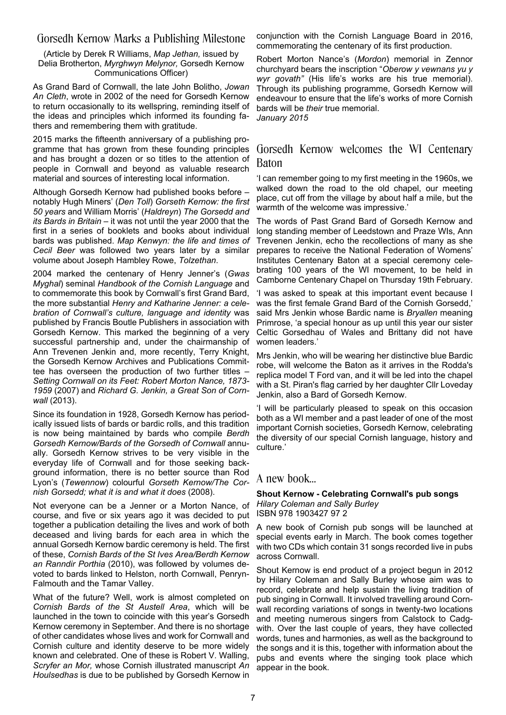## Gorsedh Kernow Marks a Publishing Milestone

(Article by Derek R Williams, *Map Jethan,* issued by Delia Brotherton, *Myrghwyn Melynor,* Gorsedh Kernow Communications Officer)

As Grand Bard of Cornwall, the late John Bolitho, *Jowan An Cleth*, wrote in 2002 of the need for Gorsedh Kernow to return occasionally to its wellspring, reminding itself of the ideas and principles which informed its founding fathers and remembering them with gratitude.

2015 marks the fifteenth anniversary of a publishing programme that has grown from these founding principles and has brought a dozen or so titles to the attention of people in Cornwall and beyond as valuable research material and sources of interesting local information.

Although Gorsedh Kernow had published books before – notably Hugh Miners' (*Den Toll*) *Gorseth Kernow: the first 50 years* and William Morris' (*Haldreyn*) *The Gorsedd and its Bards in Britain* – it was not until the year 2000 that the first in a series of booklets and books about individual bards was published. *Map Kenwyn: the life and times of Cecil Beer* was followed two years later by a similar volume about Joseph Hambley Rowe, *Tolzethan*.

2004 marked the centenary of Henry Jenner's (*Gwas Myghal*) seminal *Handbook of the Cornish Language* and to commemorate this book by Cornwall's first Grand Bard, the more substantial *Henry and Katharine Jenner: a celebration of Cornwall's culture, language and identity* was published by Francis Boutle Publishers in association with Gorsedh Kernow. This marked the beginning of a very successful partnership and, under the chairmanship of Ann Trevenen Jenkin and, more recently, Terry Knight, the Gorsedh Kernow Archives and Publications Committee has overseen the production of two further titles – *Setting Cornwall on its Feet: Robert Morton Nance, 1873- 1959* (2007) and *Richard G. Jenkin, a Great Son of Cornwall* (2013).

Since its foundation in 1928, Gorsedh Kernow has periodically issued lists of bards or bardic rolls, and this tradition is now being maintained by bards who compile *Berdh Gorsedh Kernow/Bards of the Gorsedh of Cornwall* annually. Gorsedh Kernow strives to be very visible in the everyday life of Cornwall and for those seeking background information, there is no better source than Rod Lyon's (*Tewennow*) colourful *Gorseth Kernow/The Cornish Gorsedd; what it is and what it does* (2008).

Not everyone can be a Jenner or a Morton Nance, of course, and five or six years ago it was decided to put together a publication detailing the lives and work of both deceased and living bards for each area in which the annual Gorsedh Kernow bardic ceremony is held. The first of these, *Cornish Bards of the St Ives Area/Berdh Kernow an Ranndir Porthia* (2010), was followed by volumes devoted to bards linked to Helston, north Cornwall, Penryn-Falmouth and the Tamar Valley.

What of the future? Well, work is almost completed on *Cornish Bards of the St Austell Area*, which will be launched in the town to coincide with this year's Gorsedh Kernow ceremony in September. And there is no shortage of other candidates whose lives and work for Cornwall and Cornish culture and identity deserve to be more widely known and celebrated. One of these is Robert V. Walling, *Scryfer an Mor,* whose Cornish illustrated manuscript *An Houlsedhas* is due to be published by Gorsedh Kernow in

conjunction with the Cornish Language Board in 2016, commemorating the centenary of its first production.

Robert Morton Nance's (*Mordon*) memorial in Zennor churchyard bears the inscription "*Oberow y vewnans yu y wyr govath"* (His life's works are his true memorial). Through its publishing programme, Gorsedh Kernow will endeavour to ensure that the life's works of more Cornish bards will be *their* true memorial. *January 2015*

## Gorsedh Kernow welcomes the WI Centenary Baton

'I can remember going to my first meeting in the 1960s, we walked down the road to the old chapel, our meeting place, cut off from the village by about half a mile, but the warmth of the welcome was impressive.'

The words of Past Grand Bard of Gorsedh Kernow and long standing member of Leedstown and Praze WIs, Ann Trevenen Jenkin, echo the recollections of many as she prepares to receive the National Federation of Womens' Institutes Centenary Baton at a special ceremony celebrating 100 years of the WI movement, to be held in Camborne Centenary Chapel on Thursday 19th February.

'I was asked to speak at this important event because I was the first female Grand Bard of the Cornish Gorsedd,' said Mrs Jenkin whose Bardic name is *Bryallen* meaning Primrose, 'a special honour as up until this year our sister Celtic Gorsedhau of Wales and Brittany did not have women leaders.'

Mrs Jenkin, who will be wearing her distinctive blue Bardic robe, will welcome the Baton as it arrives in the Rodda's replica model T Ford van, and it will be led into the chapel with a St. Piran's flag carried by her daughter Cllr Loveday Jenkin, also a Bard of Gorsedh Kernow.

'I will be particularly pleased to speak on this occasion both as a WI member and a past leader of one of the most important Cornish societies, Gorsedh Kernow, celebrating the diversity of our special Cornish language, history and culture.'

## A new book…

#### **Shout Kernow - Celebrating Cornwall's pub songs** *Hilary Coleman and Sally Burley* ISBN 978 1903427 97 2

A new book of Cornish pub songs will be launched at special events early in March. The book comes together with two CDs which contain 31 songs recorded live in pubs across Cornwall.

Shout Kernow is end product of a project begun in 2012 by Hilary Coleman and Sally Burley whose aim was to record, celebrate and help sustain the living tradition of pub singing in Cornwall. It involved travelling around Cornwall recording variations of songs in twenty-two locations and meeting numerous singers from Calstock to Cadgwith. Over the last couple of years, they have collected words, tunes and harmonies, as well as the background to the songs and it is this, together with information about the pubs and events where the singing took place which appear in the book.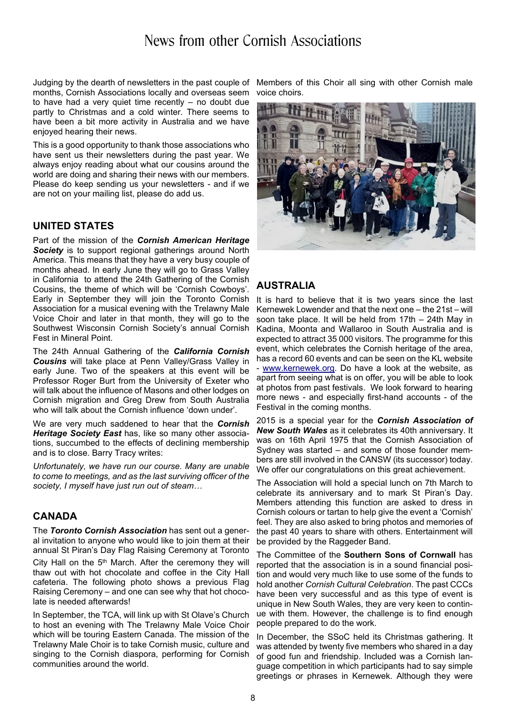# News from other Cornish Associations

Judging by the dearth of newsletters in the past couple of months, Cornish Associations locally and overseas seem to have had a very quiet time recently – no doubt due partly to Christmas and a cold winter. There seems to have been a bit more activity in Australia and we have enjoyed hearing their news.

This is a good opportunity to thank those associations who have sent us their newsletters during the past year. We always enjoy reading about what our cousins around the world are doing and sharing their news with our members. Please do keep sending us your newsletters - and if we are not on your mailing list, please do add us.

## **UNITED STATES**

Part of the mission of the *Cornish American Heritage* **Society** is to support regional gatherings around North America. This means that they have a very busy couple of months ahead. In early June they will go to Grass Valley in California to attend the 24th Gathering of the Cornish Cousins, the theme of which will be 'Cornish Cowboys'. Early in September they will join the Toronto Cornish Association for a musical evening with the Trelawny Male Voice Choir and later in that month, they will go to the Southwest Wisconsin Cornish Society's annual Cornish Fest in Mineral Point.

The 24th Annual Gathering of the *California Cornish Cousins* will take place at Penn Valley/Grass Valley in early June. Two of the speakers at this event will be Professor Roger Burt from the University of Exeter who will talk about the influence of Masons and other lodges on Cornish migration and Greg Drew from South Australia who will talk about the Cornish influence 'down under'.

We are very much saddened to hear that the *Cornish Heritage Society East* has, like so many other associations, succumbed to the effects of declining membership and is to close. Barry Tracy writes:

*Unfortunately, we have run our course. Many are unable to come to meetings, and as the last surviving officer of the society, I myself have just run out of steam…*

## **CANADA**

The *Toronto Cornish Association* has sent out a general invitation to anyone who would like to join them at their annual St Piran's Day Flag Raising Ceremony at Toronto City Hall on the  $5<sup>th</sup>$  March. After the ceremony they will thaw out with hot chocolate and coffee in the City Hall cafeteria. The following photo shows a previous Flag Raising Ceremony – and one can see why that hot chocolate is needed afterwards!

In September, the TCA, will link up with St Olave's Church to host an evening with The Trelawny Male Voice Choir which will be touring Eastern Canada. The mission of the Trelawny Male Choir is to take Cornish music, culture and singing to the Cornish diaspora, performing for Cornish communities around the world.

Members of this Choir all sing with other Cornish male voice choirs.



## **AUSTRALIA**

It is hard to believe that it is two years since the last Kernewek Lowender and that the next one – the 21st – will soon take place. It will be held from 17th – 24th May in Kadina, Moonta and Wallaroo in South Australia and is expected to attract 35 000 visitors. The programme for this event, which celebrates the Cornish heritage of the area, has a record 60 events and can be seen on the KL website - www.kernewek.org. Do have a look at the website, as apart from seeing what is on offer, you will be able to look at photos from past festivals. We look forward to hearing more news - and especially first-hand accounts - of the Festival in the coming months.

2015 is a special year for the *Cornish Association of New South Wales* as it celebrates its 40th anniversary. It was on 16th April 1975 that the Cornish Association of Sydney was started – and some of those founder members are still involved in the CANSW (its successor) today. We offer our congratulations on this great achievement.

The Association will hold a special lunch on 7th March to celebrate its anniversary and to mark St Piran's Day. Members attending this function are asked to dress in Cornish colours or tartan to help give the event a 'Cornish' feel. They are also asked to bring photos and memories of the past 40 years to share with others. Entertainment will be provided by the Raggeder Band.

The Committee of the **Southern Sons of Cornwall** has reported that the association is in a sound financial position and would very much like to use some of the funds to hold another *Cornish Cultural Celebration*. The past CCCs have been very successful and as this type of event is unique in New South Wales, they are very keen to continue with them. However, the challenge is to find enough people prepared to do the work.

In December, the SSoC held its Christmas gathering. It was attended by twenty five members who shared in a day of good fun and friendship. Included was a Cornish language competition in which participants had to say simple greetings or phrases in Kernewek. Although they were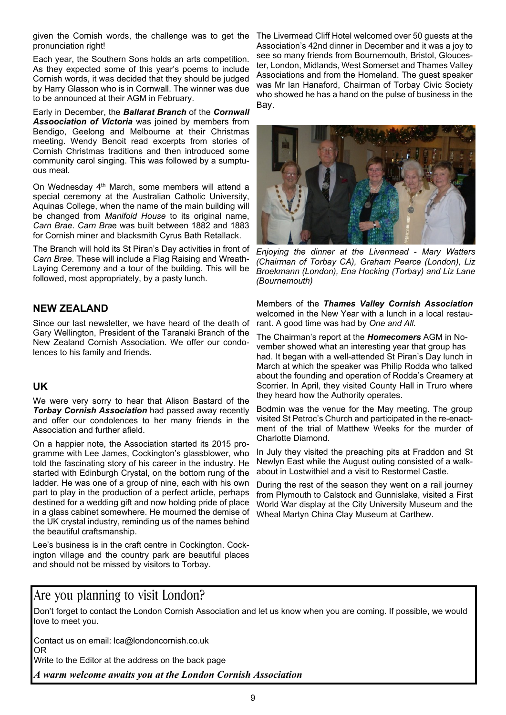given the Cornish words, the challenge was to get the The Livermead Cliff Hotel welcomed over 50 guests at the pronunciation right!

Each year, the Southern Sons holds an arts competition. As they expected some of this year's poems to include Cornish words, it was decided that they should be judged by Harry Glasson who is in Cornwall. The winner was due to be announced at their AGM in February.

Early in December, the *Ballarat Branch* of the *Cornwall Assoociation of Victoria* was joined by members from Bendigo, Geelong and Melbourne at their Christmas meeting. Wendy Benoit read excerpts from stories of Cornish Christmas traditions and then introduced some community carol singing. This was followed by a sumptuous meal.

On Wednesday 4<sup>th</sup> March, some members will attend a special ceremony at the Australian Catholic University, Aquinas College, when the name of the main building will be changed from *Manifold House* to its original name, *Carn Brae*. *Carn Bra*e was built between 1882 and 1883 for Cornish miner and blacksmith Cyrus Bath Retallack.

The Branch will hold its St Piran's Day activities in front of *Carn Brae*. These will include a Flag Raising and Wreath-Laying Ceremony and a tour of the building. This will be followed, most appropriately, by a pasty lunch.

## **NEW ZEALAND**

Since our last newsletter, we have heard of the death of Gary Wellington, President of the Taranaki Branch of the New Zealand Cornish Association. We offer our condolences to his family and friends.

## **UK**

We were very sorry to hear that Alison Bastard of the *Torbay Cornish Association* had passed away recently and offer our condolences to her many friends in the Association and further afield.

On a happier note, the Association started its 2015 programme with Lee James, Cockington's glassblower, who told the fascinating story of his career in the industry. He started with Edinburgh Crystal, on the bottom rung of the ladder. He was one of a group of nine, each with his own part to play in the production of a perfect article, perhaps destined for a wedding gift and now holding pride of place in a glass cabinet somewhere. He mourned the demise of the UK crystal industry, reminding us of the names behind the beautiful craftsmanship.

Lee's business is in the craft centre in Cockington. Cockington village and the country park are beautiful places and should not be missed by visitors to Torbay.

Association's 42nd dinner in December and it was a joy to see so many friends from Bournemouth, Bristol, Gloucester, London, Midlands, West Somerset and Thames Valley Associations and from the Homeland. The guest speaker was Mr Ian Hanaford, Chairman of Torbay Civic Society who showed he has a hand on the pulse of business in the Bay.



*Enjoying the dinner at the Livermead - Mary Watters (Chairman of Torbay CA), Graham Pearce (London), Liz Broekmann (London), Ena Hocking (Torbay) and Liz Lane (Bournemouth)*

Members of the *Thames Valley Cornish Association* welcomed in the New Year with a lunch in a local restaurant. A good time was had by *One and All*.

The Chairman's report at the *Homecomers* AGM in November showed what an interesting year that group has had. It began with a well-attended St Piran's Day lunch in March at which the speaker was Philip Rodda who talked about the founding and operation of Rodda's Creamery at Scorrier. In April, they visited County Hall in Truro where they heard how the Authority operates.

Bodmin was the venue for the May meeting. The group visited St Petroc's Church and participated in the re-enactment of the trial of Matthew Weeks for the murder of Charlotte Diamond.

In July they visited the preaching pits at Fraddon and St Newlyn East while the August outing consisted of a walkabout in Lostwithiel and a visit to Restormel Castle.

During the rest of the season they went on a rail journey from Plymouth to Calstock and Gunnislake, visited a First World War display at the City University Museum and the Wheal Martyn China Clay Museum at Carthew.

## Are you planning to visit London?

Don't forget to contact the London Cornish Association and let us know when you are coming. If possible, we would love to meet you.

Contact us on email: lca@londoncornish.co.uk OR

Write to the Editor at the address on the back page

*A warm welcome awaits you at the London Cornish Association*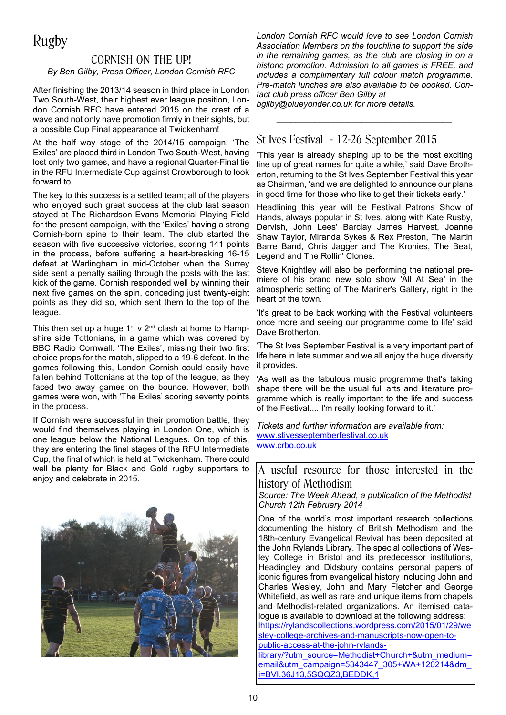# Rugby

## CORNISH ON THE UP! *By Ben Gilby, Press Officer, London Cornish RFC*

After finishing the 2013/14 season in third place in London Two South-West, their highest ever league position, London Cornish RFC have entered 2015 on the crest of a wave and not only have promotion firmly in their sights, but a possible Cup Final appearance at Twickenham!

At the half way stage of the 2014/15 campaign, 'The Exiles' are placed third in London Two South-West, having lost only two games, and have a regional Quarter-Final tie in the RFU Intermediate Cup against Crowborough to look forward to.

The key to this success is a settled team; all of the players who enjoyed such great success at the club last season stayed at The Richardson Evans Memorial Playing Field for the present campaign, with the 'Exiles' having a strong Cornish-born spine to their team. The club started the season with five successive victories, scoring 141 points in the process, before suffering a heart-breaking 16-15 defeat at Warlingham in mid-October when the Surrey side sent a penalty sailing through the posts with the last kick of the game. Cornish responded well by winning their next five games on the spin, conceding just twenty-eight points as they did so, which sent them to the top of the league.

This then set up a huge  $1^{st}$  v  $2^{nd}$  clash at home to Hampshire side Tottonians, in a game which was covered by BBC Radio Cornwall. 'The Exiles', missing their two first choice props for the match, slipped to a 19-6 defeat. In the games following this, London Cornish could easily have fallen behind Tottonians at the top of the league, as they faced two away games on the bounce. However, both games were won, with 'The Exiles' scoring seventy points in the process.

If Cornish were successful in their promotion battle, they would find themselves playing in London One, which is one league below the National Leagues. On top of this, they are entering the final stages of the RFU Intermediate Cup, the final of which is held at Twickenham. There could well be plenty for Black and Gold rugby supporters to enjoy and celebrate in 2015.



*London Cornish RFC would love to see London Cornish Association Members on the touchline to support the side in the remaining games, as the club are closing in on a historic promotion. Admission to all games is FREE, and includes a complimentary full colour match programme. Pre-match lunches are also available to be booked. Contact club press officer Ben Gilby at*

*\_\_\_\_\_\_\_\_\_\_\_\_\_\_\_\_\_\_\_\_\_\_\_\_\_\_\_\_\_\_\_\_\_\_\_\_\_*

*bgilby@blueyonder.co.uk for more details.*

## St Ives Festival - 12-26 September 2015

'This year is already shaping up to be the most exciting line up of great names for quite a while,' said Dave Brotherton, returning to the St Ives September Festival this year as Chairman, 'and we are delighted to announce our plans in good time for those who like to get their tickets early.'

Headlining this year will be Festival Patrons Show of Hands, always popular in St Ives, along with Kate Rusby, Dervish, John Lees' Barclay James Harvest, Joanne Shaw Taylor, Miranda Sykes & Rex Preston, The Martin Barre Band, Chris Jagger and The Kronies, The Beat, Legend and The Rollin' Clones.

Steve Knightley will also be performing the national premiere of his brand new solo show 'All At Sea' in the atmospheric setting of The Mariner's Gallery, right in the heart of the town.

'It's great to be back working with the Festival volunteers once more and seeing our programme come to life' said Dave Brotherton.

'The St Ives September Festival is a very important part of life here in late summer and we all enjoy the huge diversity it provides.

'As well as the fabulous music programme that's taking shape there will be the usual full arts and literature programme which is really important to the life and success of the Festival.....I'm really looking forward to it.'

*Tickets and further information are available from:* www.stivesseptemberfestival.co.uk www.crbo.co.uk

A useful resource for those interested in the history of Methodism

*Source: The Week Ahead, a publication of the Methodist Church 12th February 2014*

One of the world's most important research collections documenting the history of British Methodism and the 18th-century Evangelical Revival has been deposited at the John Rylands Library. The special collections of Wesley College in Bristol and its predecessor institutions, Headingley and Didsbury contains personal papers of iconic figures from evangelical history including John and Charles Wesley, John and Mary Fletcher and George Whitefield, as well as rare and unique items from chapels and Methodist-related organizations. An itemised catalogue is available to download at the following address: lhttps://rylandscollections.wordpress.com/2015/01/29/we sley-college-archives-and-manuscripts-now-open-topublic-access-at-the-john-rylandslibrary/?utm\_source=Methodist+Church+&utm\_medium= email&utm\_campaign=5343447\_305+WA+120214&dm\_

i=BVI,36J13,5SQQZ3,BEDDK,1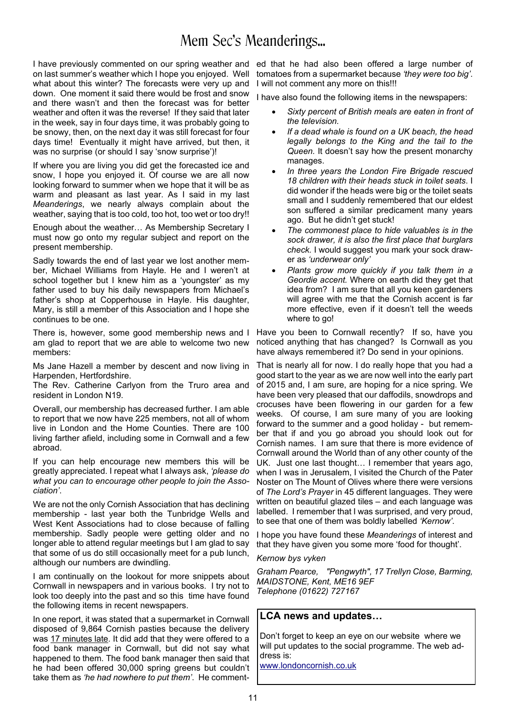# Mem Sec's Meanderings...

I have previously commented on our spring weather and on last summer's weather which I hope you enjoyed. Well what about this winter? The forecasts were very up and down. One moment it said there would be frost and snow and there wasn't and then the forecast was for better weather and often it was the reverse! If they said that later in the week, say in four days time, it was probably going to be snowy, then, on the next day it was still forecast for four days time! Eventually it might have arrived, but then, it was no surprise (or should I say 'snow surprise')!

If where you are living you did get the forecasted ice and snow, I hope you enjoyed it. Of course we are all now looking forward to summer when we hope that it will be as warm and pleasant as last year. As I said in my last *Meanderings*, we nearly always complain about the weather, saying that is too cold, too hot, too wet or too dry!!

Enough about the weather… As Membership Secretary I must now go onto my regular subject and report on the present membership.

Sadly towards the end of last year we lost another member, Michael Williams from Hayle. He and I weren't at school together but I knew him as a 'youngster' as my father used to buy his daily newspapers from Michael's father's shop at Copperhouse in Hayle. His daughter, Mary, is still a member of this Association and I hope she continues to be one.

There is, however, some good membership news and I am glad to report that we are able to welcome two new members:

Ms Jane Hazell a member by descent and now living in Harpenden, Hertfordshire.

The Rev. Catherine Carlyon from the Truro area and resident in London N19.

Overall, our membership has decreased further. I am able to report that we now have 225 members, not all of whom live in London and the Home Counties. There are 100 living farther afield, including some in Cornwall and a few abroad.

If you can help encourage new members this will be greatly appreciated. I repeat what I always ask, *'please do what you can to encourage other people to join the Association'*.

We are not the only Cornish Association that has declining membership - last year both the Tunbridge Wells and West Kent Associations had to close because of falling membership. Sadly people were getting older and no longer able to attend regular meetings but I am glad to say that some of us do still occasionally meet for a pub lunch, although our numbers are dwindling.

I am continually on the lookout for more snippets about Cornwall in newspapers and in various books. I try not to look too deeply into the past and so this time have found the following items in recent newspapers.

In one report, it was stated that a supermarket in Cornwall disposed of 9,864 Cornish pasties because the delivery was 17 minutes late. It did add that they were offered to a food bank manager in Cornwall, but did not say what happened to them. The food bank manager then said that he had been offered 30,000 spring greens but couldn't take them as *'he had nowhere to put them'*. He comment-

ed that he had also been offered a large number of tomatoes from a supermarket because *'they were too big'*. I will not comment any more on this!!!

I have also found the following items in the newspapers:

- Sixty percent of British meals are eaten in front of *the television.*
- If a dead whale is found on a UK beach, the head *legally belongs to the King and the tail to the Queen.* It doesn't say how the present monarchy manages.
- In three years the London Fire Brigade rescued *18 children with their heads stuck in toilet seats*. I did wonder if the heads were big or the toilet seats small and I suddenly remembered that our eldest son suffered a similar predicament many years ago. But he didn't get stuck!
- The commonest place to hide valuables is in the *sock drawer, it is also the first place that burglars check.* I would suggest you mark your sock drawer as *'underwear only'*
- Plants grow more quickly if you talk them in a *Geordie accent.* Where on earth did they get that idea from? I am sure that all you keen gardeners will agree with me that the Cornish accent is far more effective, even if it doesn't tell the weeds where to go!

Have you been to Cornwall recently? If so, have you noticed anything that has changed? Is Cornwall as you have always remembered it? Do send in your opinions.

That is nearly all for now. I do really hope that you had a good start to the year as we are now well into the early part of 2015 and, I am sure, are hoping for a nice spring. We have been very pleased that our daffodils, snowdrops and crocuses have been flowering in our garden for a few weeks. Of course, I am sure many of you are looking forward to the summer and a good holiday - but remember that if and you go abroad you should look out for Cornish names. I am sure that there is more evidence of Cornwall around the World than of any other county of the UK. Just one last thought… I remember that years ago, when I was in Jerusalem, I visited the Church of the Pater Noster on The Mount of Olives where there were versions of *The Lord's Prayer* in 45 different languages. They were written on beautiful glazed tiles – and each language was labelled. I remember that I was surprised, and very proud, to see that one of them was boldly labelled *'Kernow'*.

I hope you have found these *Meanderings* of interest and that they have given you some more 'food for thought'.

#### *Kernow bys vyken*

*Graham Pearce, "Pengwyth", 17 Trellyn Close, Barming, MAIDSTONE, Kent, ME16 9EF Telephone (01622) 727167*

#### **LCA news and updates…**

Don't forget to keep an eye on our website where we will put updates to the social programme. The web address is:

www.londoncornish.co.uk